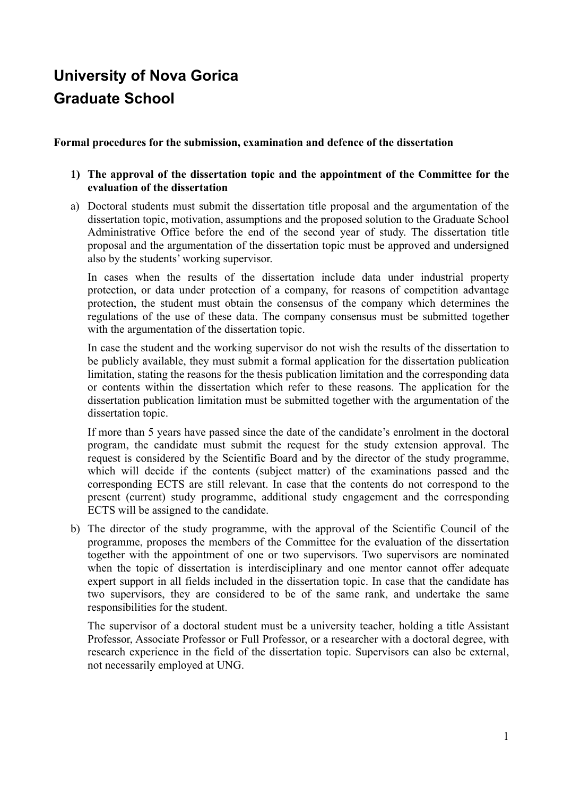# **University of Nova Gorica Graduate School**

## **Formal procedures for the submission, examination and defence of the dissertation**

## **1) The approval of the dissertation topic and the appointment of the Committee for the evaluation of the dissertation**

a) Doctoral students must submit the dissertation title proposal and the argumentation of the dissertation topic, motivation, assumptions and the proposed solution to the Graduate School Administrative Office before the end of the second year of study. The dissertation title proposal and the argumentation of the dissertation topic must be approved and undersigned also by the students' working supervisor.

In cases when the results of the dissertation include data under industrial property protection, or data under protection of a company, for reasons of competition advantage protection, the student must obtain the consensus of the company which determines the regulations of the use of these data. The company consensus must be submitted together with the argumentation of the dissertation topic.

In case the student and the working supervisor do not wish the results of the dissertation to be publicly available, they must submit a formal application for the dissertation publication limitation, stating the reasons for the thesis publication limitation and the corresponding data or contents within the dissertation which refer to these reasons. The application for the dissertation publication limitation must be submitted together with the argumentation of the dissertation topic.

If more than 5 years have passed since the date of the candidate's enrolment in the doctoral program, the candidate must submit the request for the study extension approval. The request is considered by the Scientific Board and by the director of the study programme, which will decide if the contents (subject matter) of the examinations passed and the corresponding ECTS are still relevant. In case that the contents do not correspond to the present (current) study programme, additional study engagement and the corresponding ECTS will be assigned to the candidate.

b) The director of the study programme, with the approval of the Scientific Council of the programme, proposes the members of the Committee for the evaluation of the dissertation together with the appointment of one or two supervisors. Two supervisors are nominated when the topic of dissertation is interdisciplinary and one mentor cannot offer adequate expert support in all fields included in the dissertation topic. In case that the candidate has two supervisors, they are considered to be of the same rank, and undertake the same responsibilities for the student.

The supervisor of a doctoral student must be a university teacher, holding a title Assistant Professor, Associate Professor or Full Professor, or a researcher with a doctoral degree, with research experience in the field of the dissertation topic. Supervisors can also be external, not necessarily employed at UNG.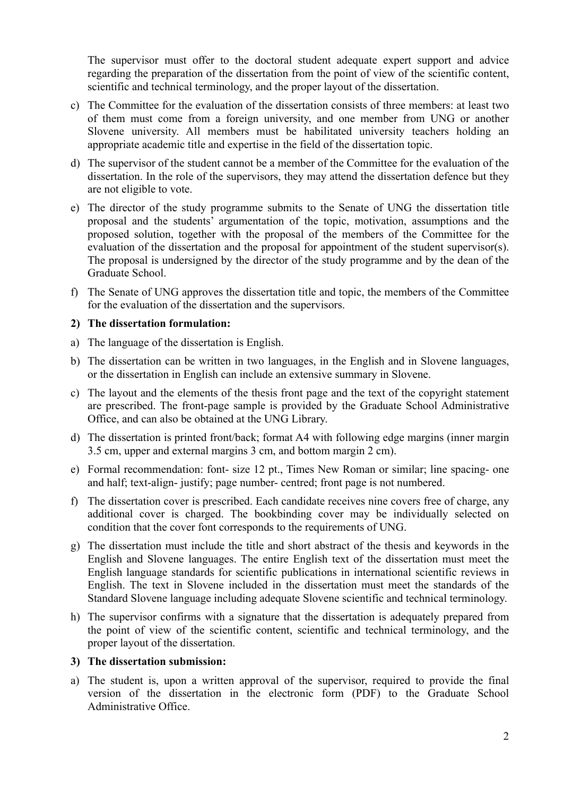The supervisor must offer to the doctoral student adequate expert support and advice regarding the preparation of the dissertation from the point of view of the scientific content, scientific and technical terminology, and the proper layout of the dissertation.

- c) The Committee for the evaluation of the dissertation consists of three members: at least two of them must come from a foreign university, and one member from UNG or another Slovene university. All members must be habilitated university teachers holding an appropriate academic title and expertise in the field of the dissertation topic.
- d) The supervisor of the student cannot be a member of the Committee for the evaluation of the dissertation. In the role of the supervisors, they may attend the dissertation defence but they are not eligible to vote.
- e) The director of the study programme submits to the Senate of UNG the dissertation title proposal and the students' argumentation of the topic, motivation, assumptions and the proposed solution, together with the proposal of the members of the Committee for the evaluation of the dissertation and the proposal for appointment of the student supervisor(s). The proposal is undersigned by the director of the study programme and by the dean of the Graduate School.
- f) The Senate of UNG approves the dissertation title and topic, the members of the Committee for the evaluation of the dissertation and the supervisors.

#### **2) The dissertation formulation:**

- a) The language of the dissertation is English.
- b) The dissertation can be written in two languages, in the English and in Slovene languages, or the dissertation in English can include an extensive summary in Slovene.
- c) The layout and the elements of the thesis front page and the text of the copyright statement are prescribed. The front-page sample is provided by the Graduate School Administrative Office, and can also be obtained at the UNG Library.
- d) The dissertation is printed front/back; format A4 with following edge margins (inner margin 3.5 cm, upper and external margins 3 cm, and bottom margin 2 cm).
- e) Formal recommendation: font- size 12 pt., Times New Roman or similar; line spacing- one and half; text-align- justify; page number- centred; front page is not numbered.
- f) The dissertation cover is prescribed. Each candidate receives nine covers free of charge, any additional cover is charged. The bookbinding cover may be individually selected on condition that the cover font corresponds to the requirements of UNG.
- g) The dissertation must include the title and short abstract of the thesis and keywords in the English and Slovene languages. The entire English text of the dissertation must meet the English language standards for scientific publications in international scientific reviews in English. The text in Slovene included in the dissertation must meet the standards of the Standard Slovene language including adequate Slovene scientific and technical terminology.
- h) The supervisor confirms with a signature that the dissertation is adequately prepared from the point of view of the scientific content, scientific and technical terminology, and the proper layout of the dissertation.

#### **3) The dissertation submission:**

a) The student is, upon a written approval of the supervisor, required to provide the final version of the dissertation in the electronic form (PDF) to the Graduate School Administrative Office.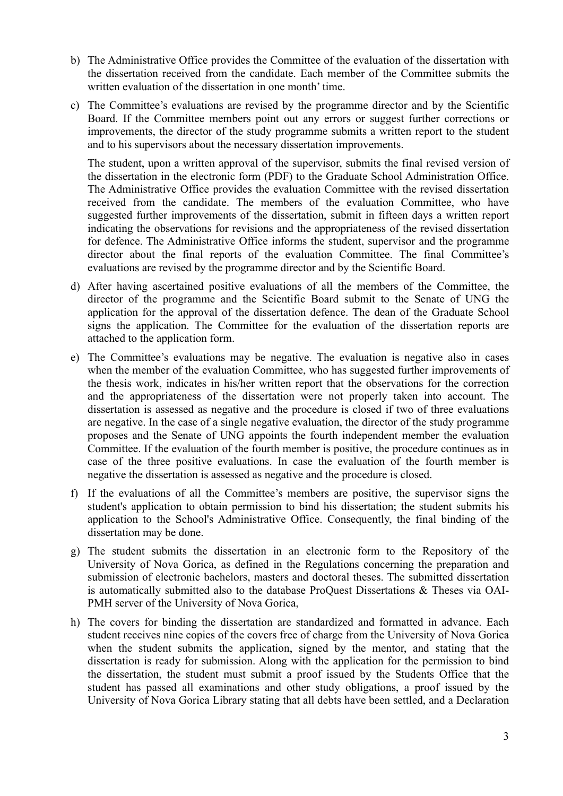- b) The Administrative Office provides the Committee of the evaluation of the dissertation with the dissertation received from the candidate. Each member of the Committee submits the written evaluation of the dissertation in one month' time.
- c) The Committee's evaluations are revised by the programme director and by the Scientific Board. If the Committee members point out any errors or suggest further corrections or improvements, the director of the study programme submits a written report to the student and to his supervisors about the necessary dissertation improvements.

The student, upon a written approval of the supervisor, submits the final revised version of the dissertation in the electronic form (PDF) to the Graduate School Administration Office. The Administrative Office provides the evaluation Committee with the revised dissertation received from the candidate. The members of the evaluation Committee, who have suggested further improvements of the dissertation, submit in fifteen days a written report indicating the observations for revisions and the appropriateness of the revised dissertation for defence. The Administrative Office informs the student, supervisor and the programme director about the final reports of the evaluation Committee. The final Committee's evaluations are revised by the programme director and by the Scientific Board.

- d) After having ascertained positive evaluations of all the members of the Committee, the director of the programme and the Scientific Board submit to the Senate of UNG the application for the approval of the dissertation defence. The dean of the Graduate School signs the application. The Committee for the evaluation of the dissertation reports are attached to the application form.
- e) The Committee's evaluations may be negative. The evaluation is negative also in cases when the member of the evaluation Committee, who has suggested further improvements of the thesis work, indicates in his/her written report that the observations for the correction and the appropriateness of the dissertation were not properly taken into account. The dissertation is assessed as negative and the procedure is closed if two of three evaluations are negative. In the case of a single negative evaluation, the director of the study programme proposes and the Senate of UNG appoints the fourth independent member the evaluation Committee. If the evaluation of the fourth member is positive, the procedure continues as in case of the three positive evaluations. In case the evaluation of the fourth member is negative the dissertation is assessed as negative and the procedure is closed.
- f) If the evaluations of all the Committee's members are positive, the supervisor signs the student's application to obtain permission to bind his dissertation; the student submits his application to the School's Administrative Office. Consequently, the final binding of the dissertation may be done.
- g) The student submits the dissertation in an electronic form to the Repository of the University of Nova Gorica, as defined in the Regulations concerning the preparation and submission of electronic bachelors, masters and doctoral theses. The submitted dissertation is automatically submitted also to the database ProQuest Dissertations & Theses via OAI-PMH server of the University of Nova Gorica,
- h) The covers for binding the dissertation are standardized and formatted in advance. Each student receives nine copies of the covers free of charge from the University of Nova Gorica when the student submits the application, signed by the mentor, and stating that the dissertation is ready for submission. Along with the application for the permission to bind the dissertation, the student must submit a proof issued by the Students Office that the student has passed all examinations and other study obligations, a proof issued by the University of Nova Gorica Library stating that all debts have been settled, and a Declaration